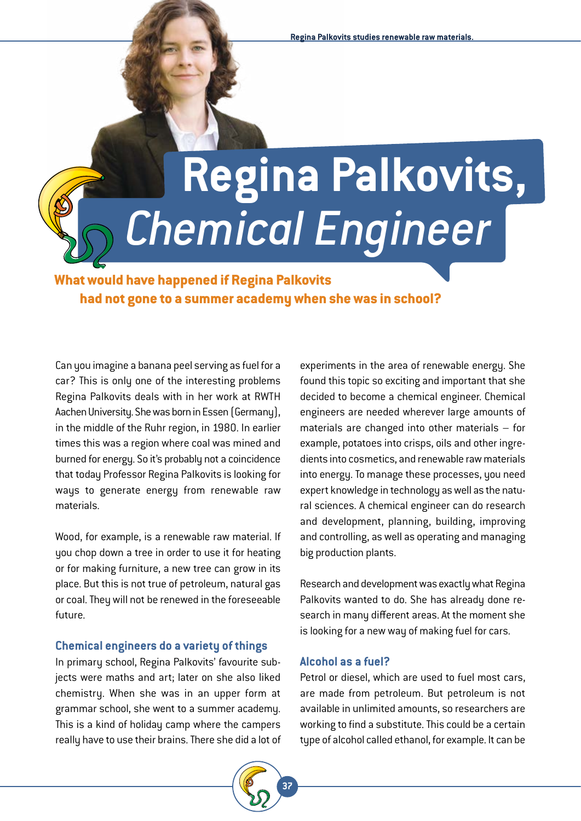# **Regina Palkovits,**  *Chemical Engineer*

**What would have happened if Regina Palkovits had not gone to a summer academy when she was in school?**

Can you imagine a banana peel serving as fuel for a car? This is only one of the interesting problems Regina Palkovits deals with in her work at RWTH Aachen University. She was born in Essen (Germany), in the middle of the Ruhr region, in 1980. In earlier times this was a region where coal was mined and burned for energy. So it's probably not a coincidence that today Professor Regina Palkovits is looking for ways to generate energy from renewable raw materials.

Wood, for example, is a renewable raw material. If you chop down a tree in order to use it for heating or for making furniture, a new tree can grow in its place. But this is not true of petroleum, natural gas or coal. They will not be renewed in the foreseeable future.

### **Chemical engineers do a variety of things**

In primary school, Regina Palkovits' favourite subjects were maths and art; later on she also liked chemistry. When she was in an upper form at grammar school, she went to a summer academy. This is a kind of holiday camp where the campers really have to use their brains. There she did a lot of



experiments in the area of renewable energy. She found this topic so exciting and important that she decided to become a chemical engineer. Chemical engineers are needed wherever large amounts of materials are changed into other materials – for example, potatoes into crisps, oils and other ingredients into cosmetics, and renewable raw materials into energy. To manage these processes, you need expert knowledge in technology as well as the natural sciences. A chemical engineer can do research and development, planning, building, improving and controlling, as well as operating and managing big production plants.

Research and development was exactly what Regina Palkovits wanted to do. She has already done research in many different areas. At the moment she is looking for a new way of making fuel for cars.

### **Alcohol as a fuel?**

Petrol or diesel, which are used to fuel most cars, are made from petroleum. But petroleum is not available in unlimited amounts, so researchers are working to find a substitute. This could be a certain type of alcohol called ethanol, for example. It can be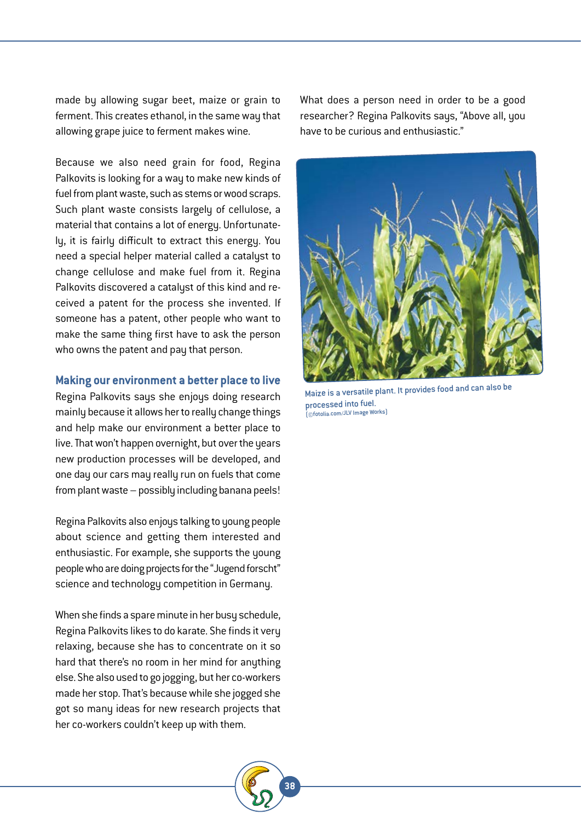made by allowing sugar beet, maize or grain to ferment. This creates ethanol, in the same way that allowing grape juice to ferment makes wine.

Because we also need grain for food, Regina Palkovits is looking for a way to make new kinds of fuel from plant waste, such as stems or wood scraps. Such plant waste consists largely of cellulose, a material that contains a lot of energy. Unfortunately, it is fairly difficult to extract this energy. You need a special helper material called a catalyst to change cellulose and make fuel from it. Regina Palkovits discovered a catalyst of this kind and received a patent for the process she invented. If someone has a patent, other people who want to make the same thing first have to ask the person who owns the patent and pay that person.

### **Making our environment a better place to live**

Regina Palkovits says she enjoys doing research mainly because it allows her to really change things and help make our environment a better place to live. That won't happen overnight, but over the years new production processes will be developed, and one day our cars may really run on fuels that come from plant waste – possibly including banana peels!

Regina Palkovits also enjoys talking to young people about science and getting them interested and enthusiastic. For example, she supports the young people who are doing projects for the "Jugend forscht" science and technology competition in Germany.

When she finds a spare minute in her busy schedule, Regina Palkovits likes to do karate. She finds it very relaxing, because she has to concentrate on it so hard that there's no room in her mind for anything else. She also used to go jogging, but her co-workers made her stop. That's because while she jogged she got so many ideas for new research projects that her co-workers couldn't keep up with them.

What does a person need in order to be a good researcher? Regina Palkovits says, "Above all, you have to be curious and enthusiastic."



Maize is a versatile plant. It provides food and can also be processed into fuel. (©fotolia.com/JLV Image Works)

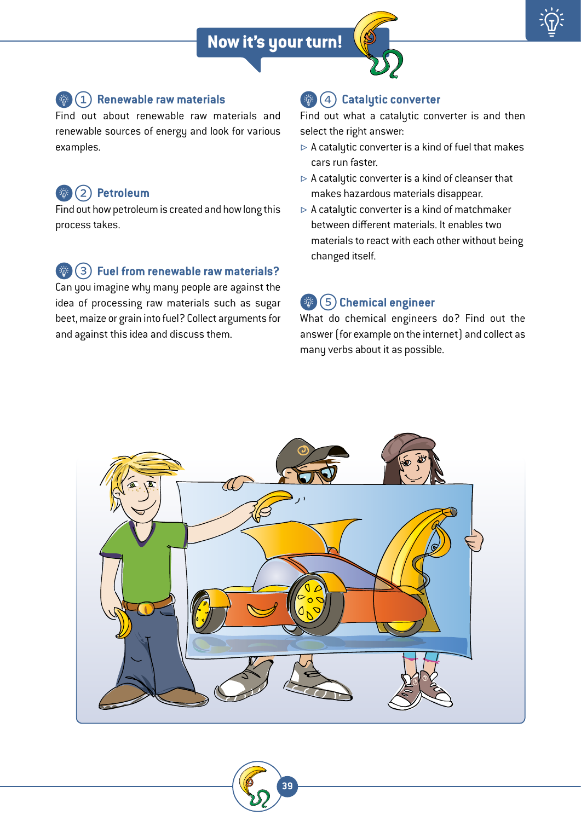

### {\$ 1 **Renewable raw materials**

Find out about renewable raw materials and renewable sources of energy and look for various examples.

### {\$ 2 **Petroleum**

Find out how petroleum is created and how long this process takes.

# {\$ 3 **Fuel from renewable raw materials?**

Can you imagine why many people are against the idea of processing raw materials such as sugar beet, maize or grain into fuel? Collect arguments for and against this idea and discuss them.

# {\$ 4 **Catalytic converter**

Find out what a catalytic converter is and then select the right answer:

- $\rhd$  A catalytic converter is a kind of fuel that makes cars run faster.
- $\triangleright$  A catalytic converter is a kind of cleanser that makes hazardous materials disappear.
- $\triangleright$  A catalutic converter is a kind of matchmaker between different materials. It enables two materials to react with each other without being changed itself.

## {\$ 5**Chemical engineer**

What do chemical engineers do? Find out the answer (for example on the internet) and collect as many verbs about it as possible.



**39**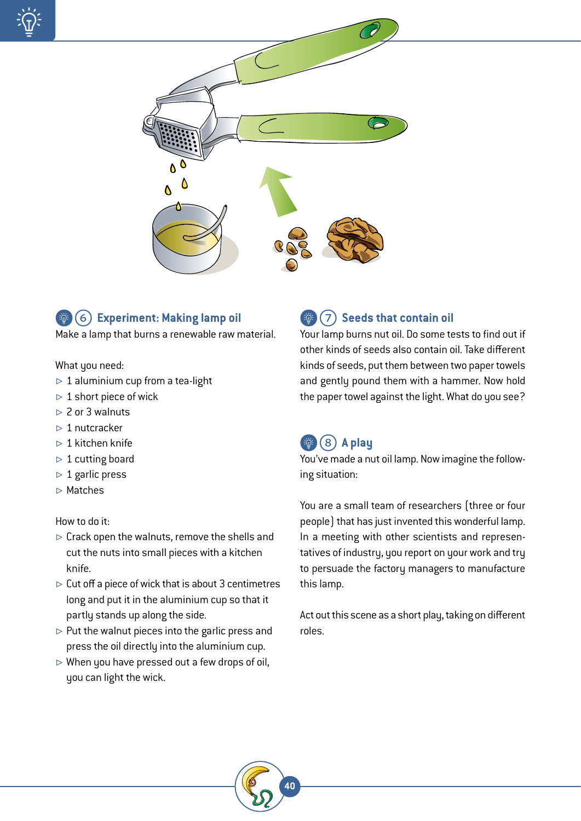





Make a lamp that burns a renewable raw material.

### What you need:

- $> 1$  aluminium cup from a tea-light
- $> 1$  short piece of wick
- $\geq 2$  or 3 walnuts
- $> 1$  nutcracker
- $> 1$  kitchen knife
- $> 1$  cutting board
- $> 1$  garlic press
- $\triangleright$  Matches

### How to do it:

- $\triangleright$  Crack open the walnuts, remove the shells and cut the nuts into small pieces with a kitchen knife.
- $\triangleright$  Cut off a piece of wick that is about 3 centimetres long and put it in the aluminium cup so that it partly stands up along the side.
- $\triangleright$  Put the walnut pieces into the garlic press and press the oil directly into the aluminium cup.
- $\triangleright$  When you have pressed out a few drops of oil, you can light the wick.

#### {\$ 7 **Seeds that contain oil** Palkovits / Nusslicht

Your lamp burns nut oil. Do some tests to find out if other kinds of seeds also contain oil. Take different kinds of seeds, put them between two paper towels and gently pound them with a hammer. Now hold the paper towel against the light. What do you see?

# {\$ 8 **A play**

**40**

You've made a nut oil lamp. Now imagine the following situation:

You are a small team of researchers (three or four people) that has just invented this wonderful lamp. In a meeting with other scientists and representatives of industry, you report on your work and try to persuade the factory managers to manufacture this lamp.

Act out this scene as a short play, taking on different roles.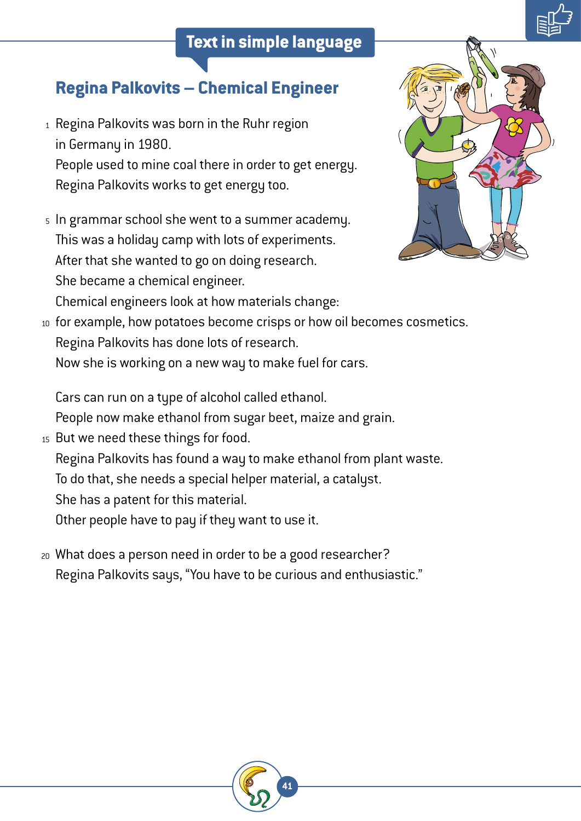# **Text in simple language**



# **Regina Palkovits – Chemical Engineer**

- $_1$  Regina Palkovits was born in the Ruhr region in Germany in 1980. People used to mine coal there in order to get energy. Regina Palkovits works to get energy too.
- $\,$  In grammar school she went to a summer academy. This was a holiday camp with lots of experiments. After that she wanted to go on doing research. She became a chemical engineer. Chemical engineers look at how materials change:



for example, how potatoes become crisps or how oil becomes cosmetics. 10 Regina Palkovits has done lots of research.

Now she is working on a new way to make fuel for cars.

Cars can run on a type of alcohol called ethanol.

People now make ethanol from sugar beet, maize and grain.

- 15 But we need these things for food.
	- Regina Palkovits has found a way to make ethanol from plant waste.

To do that, she needs a special helper material, a catalyst.

She has a patent for this material.

Other people have to pay if they want to use it.

What does a person need in order to be a good researcher? 20 Regina Palkovits says, "You have to be curious and enthusiastic."